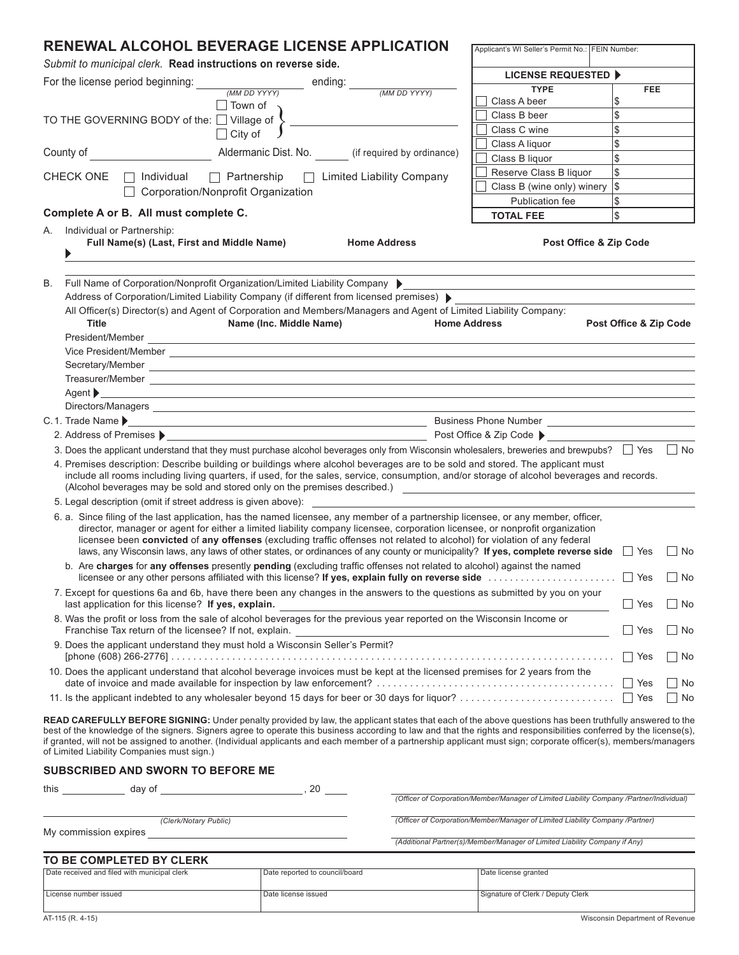# **RENEWAL ALCOHOL BEVERAGE LICENSE APPLICATION**

*Submit to municipal clerk.* **Read instructions on reverse side.**

|                                                                                     |                                                                                                                                                                                                                                                                                                                                                                                                           | ending:                                                                                                                                                                                                                                                                                                                                                                                                                                                                                                                            | <b>LICENSE REQUESTED ▶</b>                                                               |            |            |  |  |  |
|-------------------------------------------------------------------------------------|-----------------------------------------------------------------------------------------------------------------------------------------------------------------------------------------------------------------------------------------------------------------------------------------------------------------------------------------------------------------------------------------------------------|------------------------------------------------------------------------------------------------------------------------------------------------------------------------------------------------------------------------------------------------------------------------------------------------------------------------------------------------------------------------------------------------------------------------------------------------------------------------------------------------------------------------------------|------------------------------------------------------------------------------------------|------------|------------|--|--|--|
| For the license period beginning:<br><b>TYPE</b><br>(MM DD YYYY)<br>(MM DD YYYY)    |                                                                                                                                                                                                                                                                                                                                                                                                           |                                                                                                                                                                                                                                                                                                                                                                                                                                                                                                                                    |                                                                                          | <b>FEE</b> |            |  |  |  |
|                                                                                     | Town of                                                                                                                                                                                                                                                                                                                                                                                                   |                                                                                                                                                                                                                                                                                                                                                                                                                                                                                                                                    | Class A beer                                                                             | \$         |            |  |  |  |
| Class B beer<br>TO THE GOVERNING BODY of the: □ Village of                          |                                                                                                                                                                                                                                                                                                                                                                                                           |                                                                                                                                                                                                                                                                                                                                                                                                                                                                                                                                    |                                                                                          | \$         |            |  |  |  |
|                                                                                     | $\Box$ City of                                                                                                                                                                                                                                                                                                                                                                                            |                                                                                                                                                                                                                                                                                                                                                                                                                                                                                                                                    | Class C wine                                                                             | \$<br>\$   |            |  |  |  |
|                                                                                     | County of                                                                                                                                                                                                                                                                                                                                                                                                 | Aldermanic Dist. No. (if required by ordinance)                                                                                                                                                                                                                                                                                                                                                                                                                                                                                    | Class A liquor<br>Class B liquor                                                         | \$         |            |  |  |  |
|                                                                                     |                                                                                                                                                                                                                                                                                                                                                                                                           |                                                                                                                                                                                                                                                                                                                                                                                                                                                                                                                                    | Reserve Class B liquor                                                                   | \$         |            |  |  |  |
| CHECK ONE<br>$\Box$ Partnership<br>□ Limited Liability Company<br>$\Box$ Individual |                                                                                                                                                                                                                                                                                                                                                                                                           |                                                                                                                                                                                                                                                                                                                                                                                                                                                                                                                                    |                                                                                          | $\sqrt{3}$ |            |  |  |  |
|                                                                                     | Corporation/Nonprofit Organization                                                                                                                                                                                                                                                                                                                                                                        |                                                                                                                                                                                                                                                                                                                                                                                                                                                                                                                                    | Class B (wine only) winery<br>Publication fee                                            | \$         |            |  |  |  |
|                                                                                     | Complete A or B. All must complete C.                                                                                                                                                                                                                                                                                                                                                                     |                                                                                                                                                                                                                                                                                                                                                                                                                                                                                                                                    | <b>TOTAL FEE</b>                                                                         | \$         |            |  |  |  |
| А.                                                                                  | Individual or Partnership:                                                                                                                                                                                                                                                                                                                                                                                |                                                                                                                                                                                                                                                                                                                                                                                                                                                                                                                                    |                                                                                          |            |            |  |  |  |
|                                                                                     | Full Name(s) (Last, First and Middle Name)<br>Post Office & Zip Code<br><b>Home Address</b>                                                                                                                                                                                                                                                                                                               |                                                                                                                                                                                                                                                                                                                                                                                                                                                                                                                                    |                                                                                          |            |            |  |  |  |
| В.                                                                                  | Full Name of Corporation/Nonprofit Organization/Limited Liability Company<br>Address of Corporation/Limited Liability Company (if different from licensed premises) \<br>All Officer(s) Director(s) and Agent of Corporation and Members/Managers and Agent of Limited Liability Company:<br><b>Title</b><br>Name (Inc. Middle Name)<br><b>Home Address</b><br>Post Office & Zip Code<br>President/Member |                                                                                                                                                                                                                                                                                                                                                                                                                                                                                                                                    |                                                                                          |            |            |  |  |  |
|                                                                                     |                                                                                                                                                                                                                                                                                                                                                                                                           |                                                                                                                                                                                                                                                                                                                                                                                                                                                                                                                                    |                                                                                          |            |            |  |  |  |
|                                                                                     | Agent ><br><u> 1989 - Johann Stoff, amerikansk politiker (d. 1989)</u>                                                                                                                                                                                                                                                                                                                                    |                                                                                                                                                                                                                                                                                                                                                                                                                                                                                                                                    |                                                                                          |            |            |  |  |  |
|                                                                                     |                                                                                                                                                                                                                                                                                                                                                                                                           |                                                                                                                                                                                                                                                                                                                                                                                                                                                                                                                                    |                                                                                          |            |            |  |  |  |
|                                                                                     |                                                                                                                                                                                                                                                                                                                                                                                                           |                                                                                                                                                                                                                                                                                                                                                                                                                                                                                                                                    |                                                                                          |            |            |  |  |  |
|                                                                                     | 2. Address of Premises ▶ 2. Address of Premises ▶ 2. Address of Premises ▶ 2. Address of Premises ▶                                                                                                                                                                                                                                                                                                       |                                                                                                                                                                                                                                                                                                                                                                                                                                                                                                                                    |                                                                                          |            |            |  |  |  |
|                                                                                     |                                                                                                                                                                                                                                                                                                                                                                                                           | 3. Does the applicant understand that they must purchase alcohol beverages only from Wisconsin wholesalers, breweries and brewpubs?<br>Test                                                                                                                                                                                                                                                                                                                                                                                        |                                                                                          |            | $\vert$ No |  |  |  |
|                                                                                     | (Alcohol beverages may be sold and stored only on the premises described.)                                                                                                                                                                                                                                                                                                                                | 4. Premises description: Describe building or buildings where alcohol beverages are to be sold and stored. The applicant must<br>include all rooms including living quarters, if used, for the sales, service, consumption, and/or storage of alcohol beverages and records.                                                                                                                                                                                                                                                       | <u> 1989 - Andrea Andrew Maria (h. 1989).</u>                                            |            |            |  |  |  |
|                                                                                     | 5. Legal description (omit if street address is given above):                                                                                                                                                                                                                                                                                                                                             |                                                                                                                                                                                                                                                                                                                                                                                                                                                                                                                                    |                                                                                          |            |            |  |  |  |
|                                                                                     |                                                                                                                                                                                                                                                                                                                                                                                                           | 6. a. Since filing of the last application, has the named licensee, any member of a partnership licensee, or any member, officer,<br>director, manager or agent for either a limited liability company licensee, corporation licensee, or nonprofit organization<br>licensee been convicted of any offenses (excluding traffic offenses not related to alcohol) for violation of any federal<br>laws, any Wisconsin laws, any laws of other states, or ordinances of any county or municipality? If yes, complete reverse side Sec |                                                                                          |            | ∣ No       |  |  |  |
|                                                                                     | b. Are charges for any offenses presently pending (excluding traffic offenses not related to alcohol) against the named                                                                                                                                                                                                                                                                                   |                                                                                                                                                                                                                                                                                                                                                                                                                                                                                                                                    |                                                                                          |            | $\Box$ No  |  |  |  |
|                                                                                     | last application for this license? If yes, explain.                                                                                                                                                                                                                                                                                                                                                       | 7. Except for questions 6a and 6b, have there been any changes in the answers to the questions as submitted by you on your                                                                                                                                                                                                                                                                                                                                                                                                         |                                                                                          | <b>Nes</b> | ∣ No       |  |  |  |
|                                                                                     | 8. Was the profit or loss from the sale of alcohol beverages for the previous year reported on the Wisconsin Income or<br>Franchise Tax return of the licensee? If not, explain.                                                                                                                                                                                                                          |                                                                                                                                                                                                                                                                                                                                                                                                                                                                                                                                    |                                                                                          |            | ∣No        |  |  |  |
|                                                                                     | 9. Does the applicant understand they must hold a Wisconsin Seller's Permit?                                                                                                                                                                                                                                                                                                                              |                                                                                                                                                                                                                                                                                                                                                                                                                                                                                                                                    |                                                                                          |            |            |  |  |  |
|                                                                                     | 10. Does the applicant understand that alcohol beverage invoices must be kept at the licensed premises for 2 years from the                                                                                                                                                                                                                                                                               |                                                                                                                                                                                                                                                                                                                                                                                                                                                                                                                                    |                                                                                          |            |            |  |  |  |
|                                                                                     |                                                                                                                                                                                                                                                                                                                                                                                                           |                                                                                                                                                                                                                                                                                                                                                                                                                                                                                                                                    |                                                                                          |            | __ No      |  |  |  |
|                                                                                     | of Limited Liability Companies must sign.)                                                                                                                                                                                                                                                                                                                                                                | READ CAREFULLY BEFORE SIGNING: Under penalty provided by law, the applicant states that each of the above questions has been truthfully answered to the<br>best of the knowledge of the signers. Signers agree to operate this business according to law and that the rights and responsibilities conferred by the license(s),<br>if granted, will not be assigned to another. (Individual applicants and each member of a partnership applicant must sign; corporate officer(s), members/managers                                 |                                                                                          |            |            |  |  |  |
|                                                                                     | <b>SUBSCRIBED AND SWORN TO BEFORE ME</b>                                                                                                                                                                                                                                                                                                                                                                  |                                                                                                                                                                                                                                                                                                                                                                                                                                                                                                                                    |                                                                                          |            |            |  |  |  |
|                                                                                     | $\overline{\phantom{a}}$ , 20<br>this day of                                                                                                                                                                                                                                                                                                                                                              |                                                                                                                                                                                                                                                                                                                                                                                                                                                                                                                                    |                                                                                          |            |            |  |  |  |
|                                                                                     |                                                                                                                                                                                                                                                                                                                                                                                                           |                                                                                                                                                                                                                                                                                                                                                                                                                                                                                                                                    | (Officer of Corporation/Member/Manager of Limited Liability Company /Partner/Individual) |            |            |  |  |  |
|                                                                                     | (Clerk/Notary Public)                                                                                                                                                                                                                                                                                                                                                                                     |                                                                                                                                                                                                                                                                                                                                                                                                                                                                                                                                    | (Officer of Corporation/Member/Manager of Limited Liability Company /Partner)            |            |            |  |  |  |
|                                                                                     | My commission expires                                                                                                                                                                                                                                                                                                                                                                                     |                                                                                                                                                                                                                                                                                                                                                                                                                                                                                                                                    |                                                                                          |            |            |  |  |  |
|                                                                                     |                                                                                                                                                                                                                                                                                                                                                                                                           |                                                                                                                                                                                                                                                                                                                                                                                                                                                                                                                                    | (Additional Partner(s)/Member/Manager of Limited Liability Company if Any)               |            |            |  |  |  |
|                                                                                     | <b>TO BE COMPLETED BY CLERK</b>                                                                                                                                                                                                                                                                                                                                                                           |                                                                                                                                                                                                                                                                                                                                                                                                                                                                                                                                    |                                                                                          |            |            |  |  |  |
|                                                                                     | Date received and filed with municipal clerk                                                                                                                                                                                                                                                                                                                                                              | Date reported to council/board                                                                                                                                                                                                                                                                                                                                                                                                                                                                                                     | Date license granted                                                                     |            |            |  |  |  |
|                                                                                     | License number issued                                                                                                                                                                                                                                                                                                                                                                                     | Date license issued                                                                                                                                                                                                                                                                                                                                                                                                                                                                                                                | Signature of Clerk / Deputy Clerk                                                        |            |            |  |  |  |

AT-115 (R. 4-15) Wisconsin Department of Revenue

Applicant's WI Seller's Permit No.: FEIN Number: